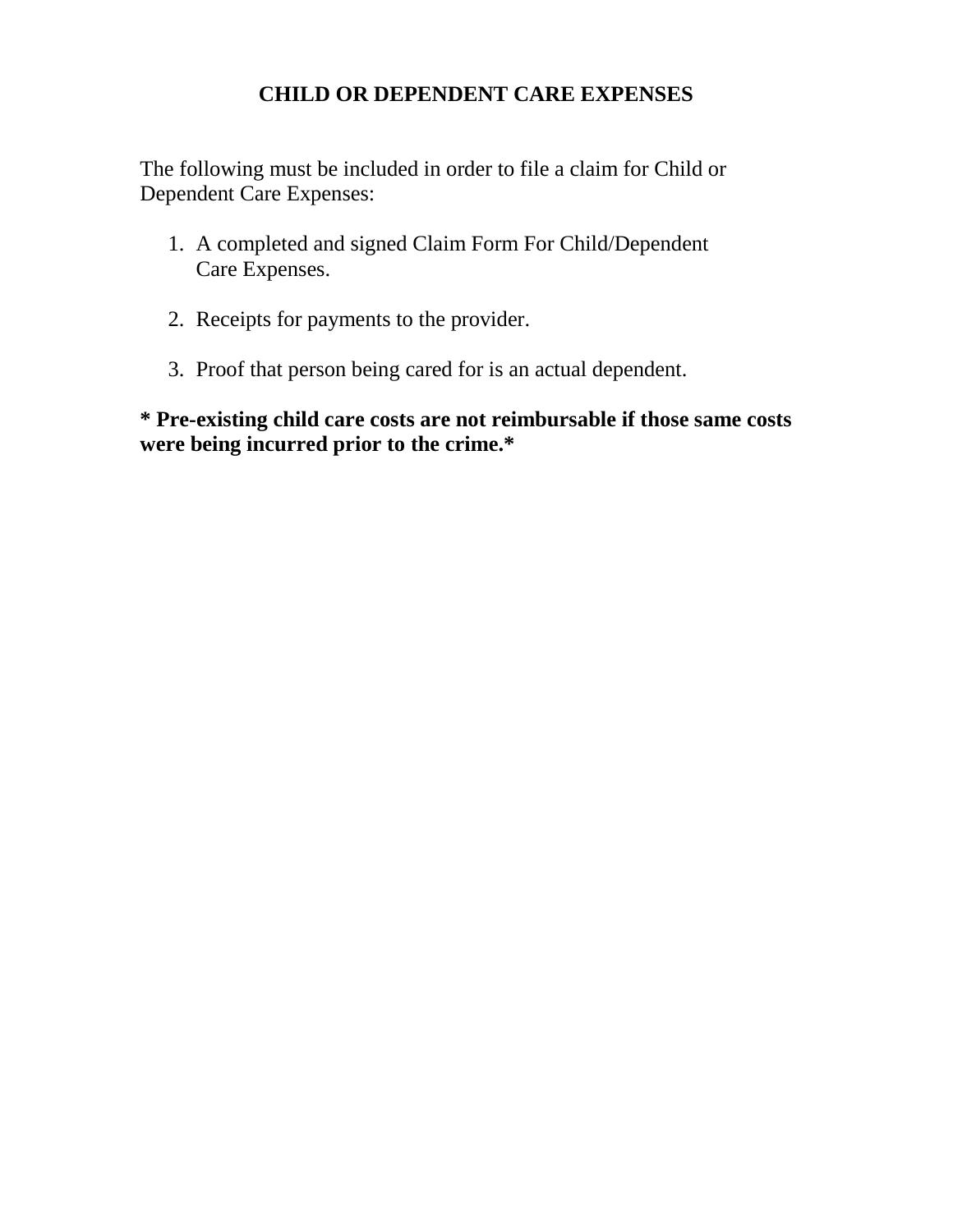## **CHILD OR DEPENDENT CARE EXPENSES**

The following must be included in order to file a claim for Child or Dependent Care Expenses:

- 1. A completed and signed Claim Form For Child/Dependent Care Expenses.
- 2. Receipts for payments to the provider.
- 3. Proof that person being cared for is an actual dependent.

**\* Pre-existing child care costs are not reimbursable if those same costs were being incurred prior to the crime.\***